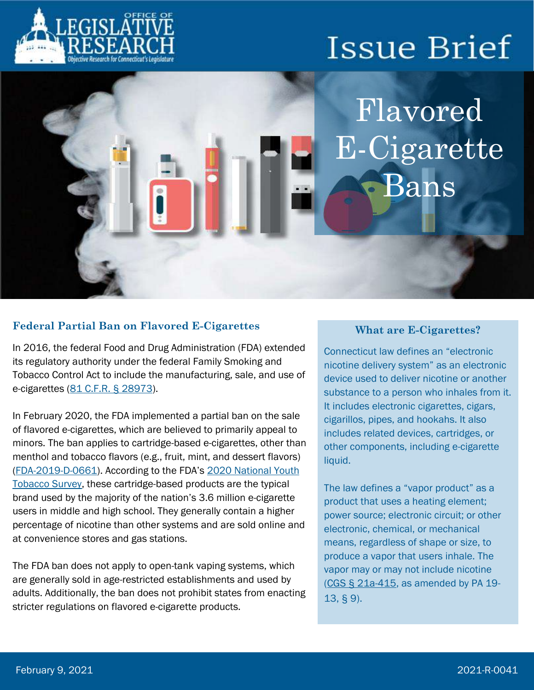

Flavored E-Cigarette Bans

### **Federal Partial Ban on Flavored E-Cigarettes**

In 2016, the federal Food and Drug Administration (FDA) extended its regulatory authority under the federal Family Smoking and Tobacco Control Act to include the manufacturing, sale, and use of e-cigarettes [\(81 C.F.R. § 28973\)](https://s3.amazonaws.com/public-inspection.federalregister.gov/2016-10685.pdf).

In February 2020, the FDA implemented a partial ban on the sale of flavored e-cigarettes, which are believed to primarily appeal to minors. The ban applies to cartridge-based e-cigarettes, other than menthol and tobacco flavors (e.g., fruit, mint, and dessert flavors) [\(FDA-2019-D-0661](https://www.fda.gov/regulatory-information/search-fda-guidance-documents/enforcement-priorities-electronic-nicotine-delivery-system-ends-and-other-deemed-products-market)). According to the FDA's 2020 [National Youth](https://www.fda.gov/tobacco-products/youth-and-tobacco/youth-tobacco-use-results-national-youth-tobacco-survey)  [Tobacco Survey,](https://www.fda.gov/tobacco-products/youth-and-tobacco/youth-tobacco-use-results-national-youth-tobacco-survey) these cartridge-based products are the typical brand used by the majority of the nation's 3.6 million e-cigarette users in middle and high school. They generally contain a higher percentage of nicotine than other systems and are sold online and at convenience stores and gas stations.

The FDA ban does not apply to open-tank vaping systems, which are generally sold in age-restricted establishments and used by adults. Additionally, the ban does not prohibit states from enacting stricter regulations on flavored e-cigarette products.

#### **What are E-Cigarettes?**

Connecticut law defines an "electronic nicotine delivery system" as an electronic device used to deliver nicotine or another substance to a person who inhales from it. It includes electronic cigarettes, cigars, cigarillos, pipes, and hookahs. It also includes related devices, cartridges, or other components, including e-cigarette liquid.

The law defines a "vapor product" as a product that uses a heating element; power source; electronic circuit; or other electronic, chemical, or mechanical means, regardless of shape or size, to produce a vapor that users inhale. The vapor may or may not include nicotine [\(CGS § 21a-415,](https://www.cga.ct.gov/current/pub/chap_420g.htm#sec_21a-415) as amended by PA 19- 13, § 9).